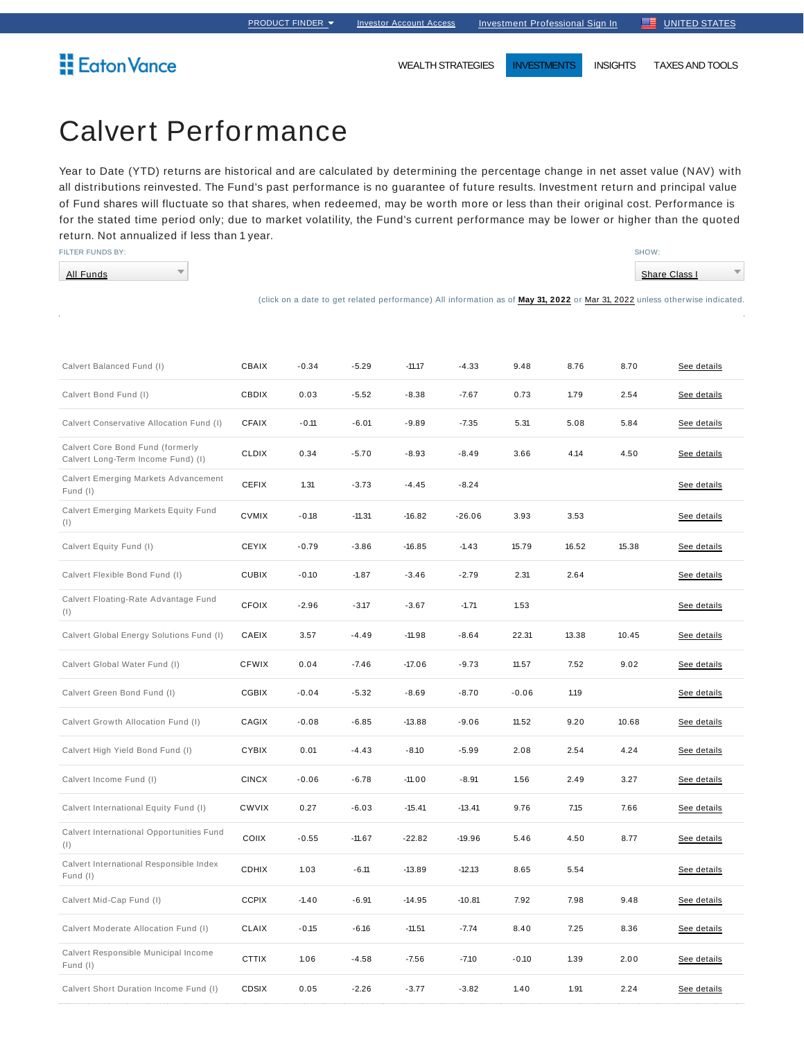WEALTH STRATEGIES **INVESTMENTS** INSIGHTS TAXES AND TOOLS

# Calvert Performance

 $\overline{\phantom{a}}$ 

Year to Date (YTD) returns are historical and are calculated by determining the percentage change in net asset value (NAV) with all distributions reinvested. The Fund's past performance is no guarantee of future results. Investment return and principal value of Fund shares will fluctuate so that shares, when redeemed, may be worth more or less than their original cost. Performance is for the stated time period only; due to market volatility, the Fund's current performance may be lower or higher than the quoted return. Not annualized if less than 1 year.

FILTER FUNDS BY:

All Funds

**E**aton Vance

Calvert Short Duration Income Fund (I)

Share Class I

 $\overline{\phantom{a}}$ 

SHOW:

|                                                                        |              |         |          |          |          |         |       |       | (click on a date to get related performance) All information as of May 31, 2022 or Mar 31, 2022 unless otherwise indicated. |
|------------------------------------------------------------------------|--------------|---------|----------|----------|----------|---------|-------|-------|-----------------------------------------------------------------------------------------------------------------------------|
|                                                                        |              |         |          |          |          |         |       |       |                                                                                                                             |
| Calvert Balanced Fund (I)                                              | CBAIX        | $-0.34$ | $-5.29$  | $-11.17$ | $-4.33$  | 9.48    | 8.76  | 8.70  | See details                                                                                                                 |
| Calvert Bond Fund (I)                                                  | <b>CBDIX</b> | 0.03    | $-5.52$  | $-8.38$  | $-7.67$  | 0.73    | 1.79  | 2.54  | See details                                                                                                                 |
| Calvert Conservative Allocation Fund (I)                               | <b>CFAIX</b> | $-0.11$ | $-6.01$  | $-9.89$  | $-7.35$  | 5.31    | 5.08  | 5.84  | See details                                                                                                                 |
| Calvert Core Bond Fund (formerly<br>Calvert Long-Term Income Fund) (I) | <b>CLDIX</b> | 0.34    | $-5.70$  | $-8.93$  | $-8.49$  | 3.66    | 4.14  | 4.50  | See details                                                                                                                 |
| Calvert Emerging Markets Advancement<br>Fund (I)                       | <b>CEFIX</b> | 1.31    | $-3.73$  | $-4.45$  | $-8.24$  |         |       |       | See details                                                                                                                 |
| Calvert Emerging Markets Equity Fund<br>(1)                            | <b>CVMIX</b> | $-0.18$ | $-11.31$ | $-16.82$ | $-26.06$ | 3.93    | 3.53  |       | See details                                                                                                                 |
| Calvert Equity Fund (I)                                                | <b>CEYIX</b> | $-0.79$ | $-3.86$  | $-16.85$ | $-1.43$  | 15.79   | 16.52 | 15.38 | See details                                                                                                                 |
| Calvert Flexible Bond Fund (I)                                         | <b>CUBIX</b> | $-0.10$ | $-1.87$  | $-3.46$  | $-2.79$  | 2.31    | 2.64  |       | See details                                                                                                                 |
| Calvert Floating-Rate Advantage Fund<br>(1)                            | <b>CFOIX</b> | $-2.96$ | $-3.17$  | $-3.67$  | $-1.71$  | 1.53    |       |       | See details                                                                                                                 |
| Calvert Global Energy Solutions Fund (I)                               | CAEIX        | 3.57    | $-4.49$  | $-11.98$ | $-8.64$  | 22.31   | 13.38 | 10.45 | See details                                                                                                                 |
| Calvert Global Water Fund (I)                                          | <b>CFWIX</b> | 0.04    | $-7.46$  | $-17.06$ | $-9.73$  | 11.57   | 7.52  | 9.02  | See details                                                                                                                 |
| Calvert Green Bond Fund (I)                                            | <b>CGBIX</b> | $-0.04$ | $-5.32$  | $-8.69$  | $-8.70$  | $-0.06$ | 1.19  |       | See details                                                                                                                 |
| Calvert Growth Allocation Fund (I)                                     | <b>CAGIX</b> | $-0.08$ | $-6.85$  | $-13.88$ | $-9.06$  | 11.52   | 9.20  | 10.68 | See details                                                                                                                 |
| Calvert High Yield Bond Fund (I)                                       | <b>CYBIX</b> | 0.01    | $-4.43$  | $-8.10$  | $-5.99$  | 2.08    | 2.54  | 4.24  | See details                                                                                                                 |
| Calvert Income Fund (I)                                                | <b>CINCX</b> | $-0.06$ | $-6.78$  | $-11.00$ | $-8.91$  | 1.56    | 2.49  | 3.27  | See details                                                                                                                 |
| Calvert International Equity Fund (I)                                  | <b>CWVIX</b> | 0.27    | $-6.03$  | $-15.41$ | $-13.41$ | 9.76    | 7.15  | 7.66  | See details                                                                                                                 |
| Calvert International Opportunities Fund<br>(1)                        | COIIX        | $-0.55$ | $-11.67$ | $-22.82$ | $-19.96$ | 5.46    | 4.50  | 8.77  | See details                                                                                                                 |
| Calvert International Responsible Index<br>Fund (I)                    | <b>CDHIX</b> | 1.03    | $-6.11$  | $-13.89$ | $-12.13$ | 8.65    | 5.54  |       | See details                                                                                                                 |
| Calvert Mid-Cap Fund (I)                                               | <b>CCPIX</b> | $-1.40$ | $-6.91$  | $-14.95$ | $-10.81$ | 7.92    | 7.98  | 9.48  | See details                                                                                                                 |
| Calvert Moderate Allocation Fund (I)                                   | CLAIX        | $-0.15$ | $-6.16$  | $-11.51$ | $-7.74$  | 8.40    | 7.25  | 8.36  | See details                                                                                                                 |
| Calvert Responsible Municipal Income<br>Fund (I)                       | <b>CTTIX</b> | 1.06    | $-4.58$  | $-7.56$  | $-7.10$  | $-0.10$ | 1.39  | 2.00  | See details                                                                                                                 |

CDSIX 0.05 -2.26 -3.77 -3.82 1.40 1.91 2.24 <u>See details</u>